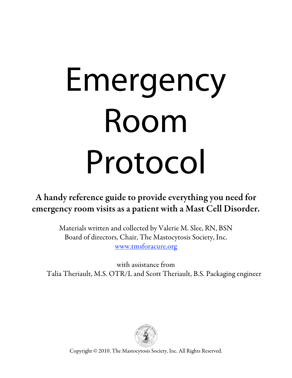# Emergency<br>Room Protocol

ence guide to provide everything y A handy reference guide to provide everything you need for emergency room visits as a patient with a Mast Cell Disorder.

> Materials written and collected by Valerie M. Slee, RN, BSN Board of directors, Chair, The Mastocytosis Society, Inc. www.tmsforacure.org

with assistance from Talia Theriault, M.S. OTR/L and Scott Theriault, B.S. Packaging engineer



Copyright © 2010. The Mastocytosis Society, Inc. All Rights Reserved.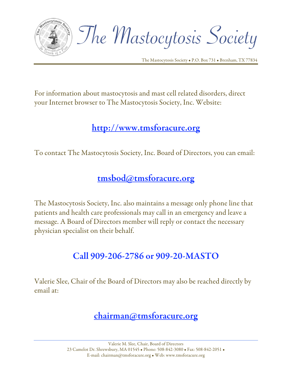

The Mastocytosis Society

For information about mastocytosis and mast cell related disorders, direct your Internet browser to The Mastocytosis Society, Inc. Website:

# http://www.tmsforacure.org

To contact The Mastocytosis Society, Inc. Board of Directors, you can email:

# tmsbod@tmsforacure.org

The Mastocytosis Society, Inc. also maintains a message only phone line that patients and health care professionals may call in an emergency and leave a message. A Board of Directors member will reply or contact the necessary physician specialist on their behalf.

# Call 909-206-2786 or 909-20-MASTO

Valerie Slee, Chair of the Board of Directors may also be reached directly by email at:

# chairman@tmsforacure.org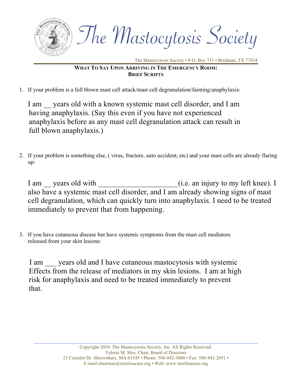

## **WHAT TO SAY UPON ARRIVING IN THE EMERGENCY ROOM: BRIEF SCRIPTS**

1. If your problem is a full blown mast cell attack/mast cell degranulation/fainting/anaphylaxis:

I am years old with a known systemic mast cell disorder, and I am having anaphylaxis. (Say this even if you have not experienced anaphylaxis before as any mast cell degranulation attack can result in full blown anaphylaxis.)

2. If your problem is something else, ( virus, fracture, auto accident, etc) and your mast cells are already flaring up:

I am zears old with  $($ i.e. an injury to my left knee). I also have a systemic mast cell disorder, and I am already showing signs of mast cell degranulation, which can quickly turn into anaphylaxis. I need to be treated immediately to prevent that from happening.

 3. If you have cutaneous disease but have systemic symptoms from the mast cell mediators released from your skin lesions:

I am vears old and I have cutaneous mastocytosis with systemic Effects from the release of mediators in my skin lesions. I am at high risk for anaphylaxis and need to be treated immediately to prevent that.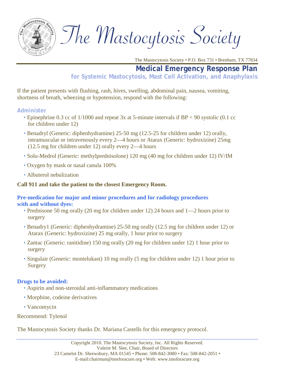

The Mastocytosis Society

## **Medical Emergency Response Plan**

**for Systemic Mastocytosis, Mast Cell Activation, and Anaphylaxis**

If the patient presents with flushing, rash, hives, swelling, abdominal pain, nausea, vomiting, shortness of breath, wheezing or hypotension, respond with the following:

#### **Administer**

- Epinephrine 0.3 cc of 1/1000 and repeat 3x at 5-minute intervals if BP < 90 systolic (0.1 cc for children under 12)
- Benadryl (Generic: diphenhydramine) 25-50 mg (12.5-25 for children under 12) orally, intramuscular or intravenously every 2—4 hours or Atarax (Generic: hydroxizine) 25mg (12.5 mg for children under 12) orally every 2—4 hours
- Solu-Medrol (Generic: methylprednisolone) 120 mg (40 mg for children under 12) IV/IM
- Oxygen by mask or nasal canula 100%
- Albuterol nebulization

#### **Call 911 and take the patient to the closest Emergency Room.**

#### **Pre-medication for major and minor procedures and for radiology procedures with and without dyes:**

- Prednisone 50 mg orally (20 mg for children under 12) 24 hours and 1—2 hours prior to surgery
- Benadry1 (Generic: diphenhydramine) 25-50 mg orally (12.5 mg for children under 12) or Atarax (Generic: hydroxizine) 25 mg orally, 1 hour prior to surgery
- Zantac (Generic: ranitidine) 150 mg orally (20 mg for children under 12) 1 hour prior to surgery
- Singulair (Generic: montelukast) 10 mg orally (5 mg for children under 12) 1 hour prior to **Surgery**

### **Drugs to be avoided:**

- Aspirin and non-steroidal anti-inflammatory medications
- Morphine, codeine derivatives
- Vancomycin

Recommend: Tylenol

The Mastocytosis Society thanks Dr. Mariana Castells for this emergency protocol.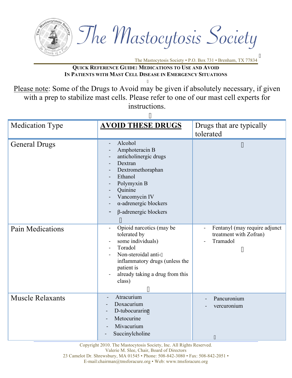

**QUICK REFERENCE GUIDE: MEDICATIONS TO USE AND AVOID IN PATIENTS WITH MAST CELL DISEASE IN EMERGENCY SITUATIONS**

I

Please note: Some of the Drugs to Avoid may be given if absolutely necessary, if given with a prep to stabilize mast cells. Please refer to one of our mast cell experts for instructions.

| 11                      |                                                                                                                                                                                                                                                                                 |                                                                                    |  |  |
|-------------------------|---------------------------------------------------------------------------------------------------------------------------------------------------------------------------------------------------------------------------------------------------------------------------------|------------------------------------------------------------------------------------|--|--|
| <b>Medication Type</b>  | <b>AVOID THESE DRUGS</b>                                                                                                                                                                                                                                                        | Drugs that are typically<br>tolerated                                              |  |  |
| <b>General Drugs</b>    | Alcohol<br>Amphoteracin B<br>anticholinergic drugs<br>$\overline{a}$<br>Dextran<br>$\blacksquare$<br>Dextromethoraphan<br>Ethanol<br>$\blacksquare$<br>Polymyxin B<br>Quinine<br>Vancomycin IV<br>$\alpha$ -adrenergic blockers<br>$\beta$ -adrenergic blockers<br>$\mathbf{H}$ | $^{\prime}$                                                                        |  |  |
| <b>Pain Medications</b> | Opioid narcotics (may be<br>tolerated by<br>some individuals)<br>$\overline{a}$<br>Toradol<br>$\blacksquare$<br>Non-steroidal anti-"<br>inflammatory drugs (unless the<br>patient is<br>already taking a drug from this<br>class)<br>$^{\prime\prime}$                          | Fentanyl (may require adjunct<br>treatment with Zofran)<br>Tramadol<br>$^{\prime}$ |  |  |
| <b>Muscle Relaxants</b> | Atracurium<br>Doxacurium<br>D-tubocurarine<br>Metocurine<br>Mivacurium<br>Succinylcholine                                                                                                                                                                                       | Pancuronium<br>vercuronium<br>$\pmb{\mathsf{H}}$                                   |  |  |

Copyright 2010. The Mastocytosis Society, Inc. All Rights Reserved.

Valerie M. Slee, Chair, Board of Directors

23 Camelot Dr. Shrewsbury, MA 01545 • Phone: 508-842-3080 • Fax: 508-842-2051 •

E-mail:chairman@tmsforacure.org • Web: www.tmsforacure.org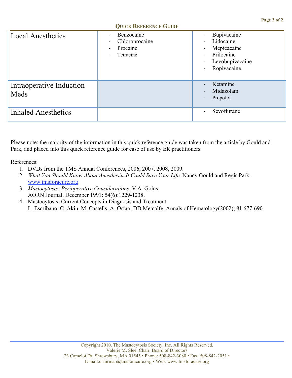|                                  | <b>QUICK REFERENCE GUIDE</b>                                                                                                  |                                                                                                                                                                                             |
|----------------------------------|-------------------------------------------------------------------------------------------------------------------------------|---------------------------------------------------------------------------------------------------------------------------------------------------------------------------------------------|
| <b>Local Anesthetics</b>         | Benzocaine<br>$\blacksquare$<br>Chloroprocaine<br>$\blacksquare$<br>Procaine<br>$\blacksquare$<br>Tetracine<br>$\blacksquare$ | Bupivacaine<br>Lidocaine<br>$\blacksquare$<br>Mepicacaine<br>$\blacksquare$<br>Prilocaine<br>$\blacksquare$<br>Levobupivacaine<br>$\overline{\phantom{a}}$<br>Ropivacaine<br>$\blacksquare$ |
| Intraoperative Induction<br>Meds |                                                                                                                               | Ketamine<br>$\equiv$<br>Midazolam<br>$\overline{\phantom{a}}$<br>Propofol<br>$\overline{\phantom{a}}$                                                                                       |
| <b>Inhaled Anesthetics</b>       |                                                                                                                               | Sevoflurane                                                                                                                                                                                 |

Please note: the majority of the information in this quick reference guide was taken from the article by Gould and Park, and placed into this quick reference guide for ease of use by ER practitioners.

References:

- 1. DVDs from the TMS Annual Conferences, 2006, 2007, 2008, 2009.
- 2. *What You Should Know About Anesthesia-It Could Save Your Life*. Nancy Gould and Regis Park. www.tmsforacure.org
- 3. *Mastocytosis: Perioperative Considerations*. V.A. Goins. AORN Journal. December 1991: 54(6):1229-1238.
- 4. Mastocytosis: Current Concepts in Diagnosis and Treatment. L. Escribano, C. Akin, M. Castells, A. Orfao, DD.Metcalfe, Annals of Hematology(2002); 81 677-690.

#### **QUICK REFERENCE GUIDE**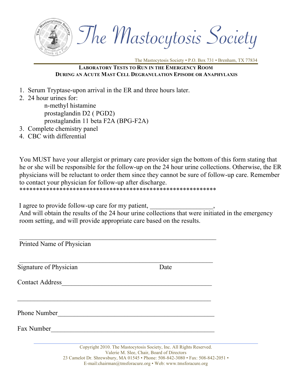

The Mastocytosis Society

## **LABORATORY TESTS TO RUN IN THE EMERGENCY ROOM DURING AN ACUTE MAST CELL DEGRANULATION EPISODE OR ANAPHYLAXIS**

- 1. Serum Tryptase-upon arrival in the ER and three hours later.
- 2. 24 hour urines for:

 n-methyl histamine prostaglandin D2 ( PGD2) prostaglandin 11 beta F2A (BPG-F2A)

- 3. Complete chemistry panel
- 4. CBC with differential

You MUST have your allergist or primary care provider sign the bottom of this form stating that he or she will be responsible for the follow-up on the 24 hour urine collections. Otherwise, the ER physicians will be reluctant to order them since they cannot be sure of follow-up care. Remember to contact your physician for follow-up after discharge. \*\*\*\*\*\*\*\*\*\*\*\*\*\*\*\*\*\*\*\*\*\*\*\*\*\*\*\*\*\*\*\*\*\*\*\*\*\*\*\*\*\*\*\*\*\*\*\*\*\*\*\*\*\*\*\*\*\*\*

I agree to provide follow-up care for my patient,

And will obtain the results of the 24 hour urine collections that were initiated in the emergency room setting, and will provide appropriate care based on the results.

| Printed Name of Physician |      |  |
|---------------------------|------|--|
| Signature of Physician    | Date |  |
| <b>Contact Address</b>    |      |  |
|                           |      |  |
| <b>Phone Number</b>       |      |  |
| Fax Number                |      |  |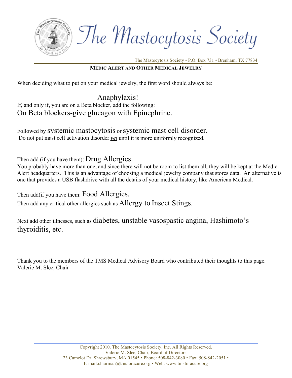

The Mastocytosis Society

#### **MEDIC ALERT AND OTHER MEDICAL JEWELRY**

When deciding what to put on your medical jewelry, the first word should always be:

 Anaphylaxis! If, and only if, you are on a Beta blocker, add the following: On Beta blockers-give glucagon with Epinephrine.

Followed by systemic mastocytosis or systemic mast cell disorder. Do not put mast cell activation disorder *yet* until it is more uniformly recognized.

Then add (if you have them): Drug Allergies.

You probably have more than one, and since there will not be room to list them all, they will be kept at the Medic Alert headquarters. This is an advantage of choosing a medical jewelry company that stores data. An alternative is one that provides a USB flashdrive with all the details of your medical history, like American Medical.

Then add (if you have them: Food Allergies.

Then add any critical other allergies such as Allergy to Insect Stings.

Next add other illnesses, such as diabetes, unstable vasospastic angina, Hashimoto's thyroiditis, etc.

Thank you to the members of the TMS Medical Advisory Board who contributed their thoughts to this page. Valerie M. Slee, Chair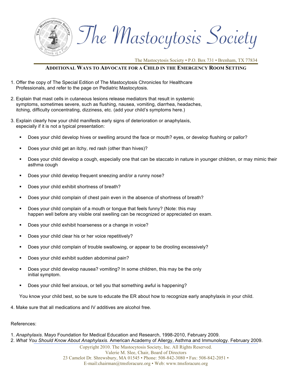

The Mastocytosis Society

#### **ADDITIONAL WAYS TO ADVOCATE FOR A CHILD IN THE EMERGENCY ROOM SETTING**

- 1. Offer the copy of The Special Edition of The Mastocytosis Chronicles for Healthcare Professionals, and refer to the page on Pediatric Mastocytosis.
- 2. Explain that mast cells in cutaneous lesions release mediators that result in systemic symptoms, sometimes severe, such as flushing, nausea, vomiting, diarrhea, headaches, itching, difficulty concentrating, dizziness, etc. (add your child's symptoms here.)
- 3. Explain clearly how your child manifests early signs of deterioration or anaphylaxis, especially if it is not a typical presentation:
	- Does your child develop hives or swelling around the face or mouth? eyes, or develop flushing or pallor?
	- Does your child get an itchy, red rash (other than hives)?
	- Does your child develop a cough, especially one that can be staccato in nature in younger children, or may mimic their asthma cough
	- **Does your child develop frequent sneezing and/or a runny nose?**
	- Does your child exhibit shortness of breath?
	- Does your child complain of chest pain even in the absence of shortness of breath?
	- Does your child complain of a mouth or tongue that feels funny? (Note: this may happen well before any visible oral swelling can be recognized or appreciated on exam.
	- Does your child exhibit hoarseness or a change in voice?
	- Does your child clear his or her voice repetitively?
	- Does your child complain of trouble swallowing, or appear to be drooling excessively?
	- Does your child exhibit sudden abdominal pain?
	- Does your child develop nausea? vomiting? In some children, this may be the only initial symptom.
	- Does your child feel anxious, or tell you that something awful is happening?

You know your child best, so be sure to educate the ER about how to recognize early anaphylaxis in your child.

4. Make sure that all medications and IV additives are alcohol free.

References:

- 1. *Anaphylaxis*. Mayo Foundation for Medical Education and Research, 1998-2010, February 2009.
- 2. *What You Should Know About Anaphylaxis.* American Academy of Allergy, Asthma and Immunology. February 2009.

Copyright 2010. The Mastocytosis Society, Inc. All Rights Reserved. Valerie M. Slee, Chair, Board of Directors 23 Camelot Dr. Shrewsbury, MA 01545 • Phone: 508-842-3080 • Fax: 508-842-2051 • E-mail:chairman@tmsforacure.org • Web: www.tmsforacure.org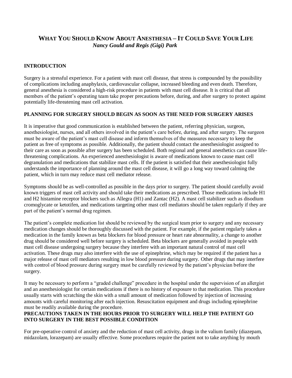## **WHAT YOU SHOULD KNOW ABOUT ANESTHESIA – IT COULD SAVE YOUR LIFE**  *Nancy Gould and Regis (Gigi) Park*

#### **INTRODUCTION**

Surgery is a stressful experience. For a patient with mast cell disease, that stress is compounded by the possibility of complications including anaphylaxis, cardiovascular collapse, increased bleeding and even death. Therefore, general anesthesia is considered a high-risk procedure in patients with mast cell disease. It is critical that all members of the patient's operating team take proper precautions before, during, and after surgery to protect against potentially life-threatening mast cell activation.

#### **PLANNING FOR SURGERY SHOULD BEGIN AS SOON AS THE NEED FOR SURGERY ARISES**

It is imperative that good communication is established between the patient, referring physician, surgeon, anesthesiologist, nurses, and all others involved in the patient's care before, during, and after surgery. The surgeon must be aware of the patient's mast cell disease and inform themselves of the measures necessary to keep the patient as free of symptoms as possible. Additionally, the patient should contact the anesthesiologist assigned to their care as soon as possible after surgery has been scheduled. Both regional and general anesthetics can cause lifethreatening complications. An experienced anesthesiologist is aware of medications known to cause mast cell degranulation and medications that stabilize mast cells. If the patient is satisfied that their anesthesiologist fully understands the importance of planning around the mast cell disease, it will go a long way toward calming the patient, which in turn may reduce mast cell mediator release.

Symptoms should be as well-controlled as possible in the days prior to surgery. The patient should carefully avoid known triggers of mast cell activity and should take their medications as prescribed. Those medications include H1 and H2 histamine receptor blockers such as Allegra (H1) and Zantac (H2). A mast cell stabilizer such as disodium cromoglycate or ketotifen, and medications targeting other mast cell mediators should be taken regularly if they are part of the patient's normal drug regimen.

The patient's complete medication list should be reviewed by the surgical team prior to surgery and any necessary medication changes should be thoroughly discussed with the patient. For example, if the patient regularly takes a medication in the family known as beta blockers for blood pressure or heart rate abnormality, a change to another drug should be considered well before surgery is scheduled. Beta blockers are generally avoided in people with mast cell disease undergoing surgery because they interfere with an important natural control of mast cell activation. These drugs may also interfere with the use of epinephrine, which may be required if the patient has a major release of mast cell mediators resulting in low blood pressure during surgery. Other drugs that may interfere with control of blood pressure during surgery must be carefully reviewed by the patient's physician before the surgery.

It may be necessary to perform a "graded challenge" procedure in the hospital under the supervision of an allergist and an anesthesiologist for certain medications if there is no history of exposure to that medication. This procedure usually starts with scratching the skin with a small amount of medication followed by injection of increasing amounts with careful monitoring after each injection. Resuscitation equipment and drugs including epinephrine must be readily available during the procedure.

#### **PRECAUTIONS TAKEN IN THE HOURS PRIOR TO SURGERY WILL HELP THE PATIENT GO INTO SURGERY IN THE BEST POSSIBLE CONDITION**

For pre-operative control of anxiety and the reduction of mast cell activity, drugs in the valium family (diazepam, midazolam, lorazepam) are usually effective. Some procedures require the patient not to take anything by mouth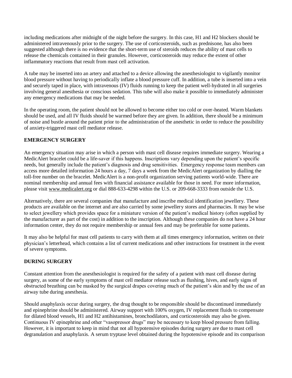including medications after midnight of the night before the surgery. In this case, H1 and H2 blockers should be administered intravenously prior to the surgery. The use of corticosteroids, such as prednisone, has also been suggested although there is no evidence that the short-term use of steroids reduces the ability of mast cells to release the chemicals contained in their granules. However, corticosteroids may reduce the extent of other inflammatory reactions that result from mast cell activation.

A tube may be inserted into an artery and attached to a device allowing the anesthesiologist to vigilantly monitor blood pressure without having to periodically inflate a blood pressure cuff. In addition, a tube is inserted into a vein and securely taped in place**,** with intravenous (IV) fluids running to keep the patient well-hydrated in all surgeries involving general anesthesia or conscious sedation. This tube will also make it possible to immediately administer any emergency medications that may be needed.

In the operating room, the patient should not be allowed to become either too cold or over-heated. Warm blankets should be used, and all IV fluids should be warmed before they are given. In addition, there should be a minimum of noise and bustle around the patient prior to the administration of the anesthetic in order to reduce the possibility of anxiety-triggered mast cell mediator release.

#### **EMERGENCY SURGERY**

An emergency situation may arise in which a person with mast cell disease requires immediate surgery. Wearing a MedicAlert bracelet could be a life-saver if this happens. Inscriptions vary depending upon the patient's specific needs, but generally include the patient's diagnosis and drug sensitivities. Emergency response team members can access more detailed information 24 hours a day, 7 days a week from the MedicAlert organization by dialling the toll-free number on the bracelet. MedicAlert is a non-profit organization serving patients world-wide. There are nominal membership and annual fees with financial assistance available for those in need. For more information, please visit [www.medicalert.org](http://www.medicalert.org/) or dial 888-633-4298 within the U.S. or 209-668-3333 from outside the U.S.

Alternatively, there are several companies that manufacture and inscribe medical identification jewellery. These products are available on the internet and are also carried by some jewellery stores and pharmacies. It may be wise to select jewellery which provides space for a miniature version of the patient's medical history (often supplied by the manufacturer as part of the cost) in addition to the inscription. Although these companies do not have a 24 hour information center, they do not require membership or annual fees and may be preferable for some patients.

It may also be helpful for mast cell patients to carry with them at all times emergency information, written on their physician's letterhead, which contains a list of current medications and other instructions for treatment in the event of severe symptoms.

#### **DURING SURGERY**

Constant attention from the anesthesiologist is required for the safety of a patient with mast cell disease during surgery, as some of the early symptoms of mast cell mediator release such as flushing, hives, and early signs of obstructed breathing can be masked by the surgical drapes covering much of the patient's skin and by the use of an airway tube during anesthesia.

Should anaphylaxis occur during surgery, the drug thought to be responsible should be discontinued immediately and epinephrine should be administered. Airway support with 100% oxygen, IV replacement fluids to compensate for dilated blood vessels, H1 and H2 antihistamines, bronchodilators, and corticosteroids may also be given. Continuous IV epinephrine and other "vasopressor drugs" may be necessary to keep blood pressure from falling. However, it is important to keep in mind that not all hypotensive episodes during surgery are due to mast cell degranulation and anaphylaxis. A serum tryptase level obtained during the hypotensive episode and its comparison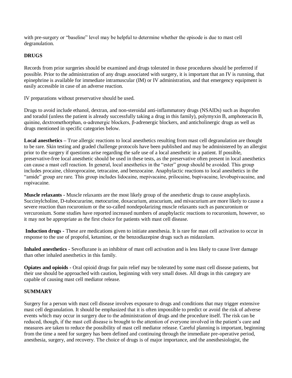with pre-surgery or "baseline" level may be helpful to determine whether the episode is due to mast cell degranulation.

#### **DRUGS**

Records from prior surgeries should be examined and drugs tolerated in those procedures should be preferred if possible. Prior to the administration of any drugs associated with surgery, it is important that an IV is running, that epinephrine is available for immediate intramuscular (IM) or IV administration, and that emergency equipment is easily accessible in case of an adverse reaction.

IV preparations without preservative should be used.

Drugs to avoid include ethanol, dextran, and non-steroidal anti-inflammatory drugs (NSAIDs) such as ibuprofen and toradol (unless the patient is already successfully taking a drug in this family), polymyxin B, amphoteracin B, quinine, dextromethorphan, α-adrenergic blockers, β-adrenergic blockers, and anticholinergic drugs as well as drugs mentioned in specific categories below.

**Local anesthetics –** True allergic reactions to local anesthetics resulting from mast cell degranulation are thought to be rare. Skin testing and graded challenge protocols have been published and may be administered by an allergist prior to the surgery if questions arise regarding the safe use of a local anesthetic in a patient. If possible, preservative-free local anesthetic should be used in these tests, as the preservative often present in local anesthetics can cause a mast cell reaction. In general, local anesthetics in the "ester" group should be avoided. This group includes procaine, chloroprocaine, tetracaine, and benzocaine. Anaphylactic reactions to local anesthetics in the "amide" group are rare. This group includes lidocaine, mepivacaine, prilocaine, bupivacaine, levobupivacaine, and ropivacaine.

**Muscle relaxants -** Muscle relaxants are the most likely group of the anesthetic drugs to cause anaphylaxis. Succinylcholine, D-tubocurarine, metocurine, doxacurium, atracurium, and mivacurium are more likely to cause a severe reaction than rocuronium or the so-called nondepolarizing muscle relaxants such as pancuronium or vercuronium. Some studies have reported increased numbers of anaphylactic reactions to rocuronium, however, so it may not be appropriate as the first choice for patients with mast cell disease.

 **Induction drugs -** These are medications given to initiate anesthesia. It is rare for mast cell activation to occur in response to the use of propofol, ketamine, or the benzodiazepine drugs such as midazolam.

**Inhaled anesthetics -** Sevoflurane is an inhibitor of mast cell activation and is less likely to cause liver damage than other inhaled anesthetics in this family.

**Opiates and opioids -** Oral opioid drugs for pain relief may be tolerated by some mast cell disease patients, but their use should be approached with caution, beginning with very small doses. All drugs in this category are capable of causing mast cell mediator release.

#### **SUMMARY**

Surgery for a person with mast cell disease involves exposure to drugs and conditions that may trigger extensive mast cell degranulation. It should be emphasized that it is often impossible to predict or avoid the risk of adverse events which may occur in surgery due to the administration of drugs and the procedure itself. The risk can be reduced, though, if the mast cell disease is brought to the attention of everyone involved in the patient's care and measures are taken to reduce the possibility of mast cell mediator release. Careful planning is important, beginning from the time a need for surgery has been defined and continuing through the immediate pre-operative period, anesthesia, surgery, and recovery. The choice of drugs is of major importance, and the anesthesiologist, the